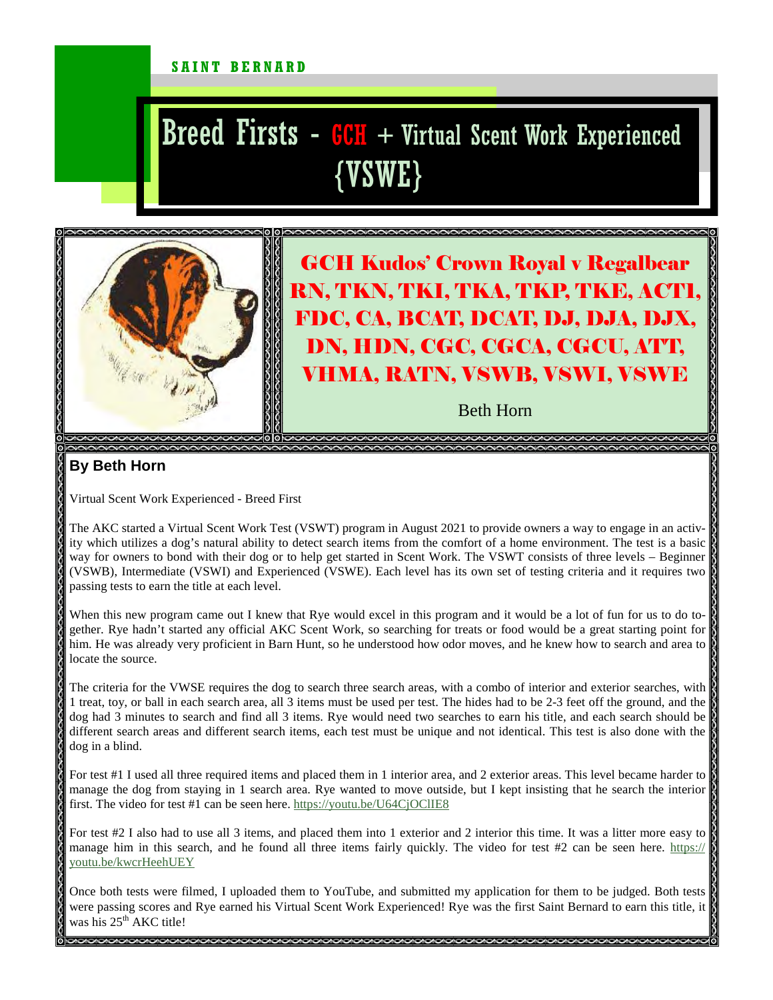## SAINT BERNARD

## Breed Firsts  $-$  GCH  $+$  Virtual Scent Work Experienced {VSWE}



GCH Kudos' Crown Royal v Regalbear RN, TKN, TKI, TKA, TKP, TKE, ACT1, FDC, CA, BCAT, DCAT, DJ, DJA, DJX, DN, HDN, CGC, CGCA, CGCU, ATT, VHMA, RATN, VSWB, VSWI, VSWE

Beth Horn

## **By Beth Horn**

Virtual Scent Work Experienced - Breed First

The AKC started a Virtual Scent Work Test (VSWT) program in August 2021 to provide owners a way to engage in an activity which utilizes a dog's natural ability to detect search items from the comfort of a home environment. The test is a basic way for owners to bond with their dog or to help get started in Scent Work. The VSWT consists of three levels – Beginner (VSWB), Intermediate (VSWI) and Experienced (VSWE). Each level has its own set of testing criteria and it requires two passing tests to earn the title at each level.

When this new program came out I knew that Rye would excel in this program and it would be a lot of fun for us to do together. Rye hadn't started any official AKC Scent Work, so searching for treats or food would be a great starting point for him. He was already very proficient in Barn Hunt, so he understood how odor moves, and he knew how to search and area to locate the source.

The criteria for the VWSE requires the dog to search three search areas, with a combo of interior and exterior searches, with 1 treat, toy, or ball in each search area, all 3 items must be used per test. The hides had to be 2-3 feet off the ground, and the dog had 3 minutes to search and find all 3 items. Rye would need two searches to earn his title, and each search should be different search areas and different search items, each test must be unique and not identical. This test is also done with the dog in a blind.

For test #1 I used all three required items and placed them in 1 interior area, and 2 exterior areas. This level became harder to manage the dog from staying in 1 search area. Rye wanted to move outside, but I kept insisting that he search the interior first. The video for test #1 can be seen here. https://youtu.be/U64CjOClIE8

For test #2 I also had to use all 3 items, and placed them into 1 exterior and 2 interior this time. It was a litter more easy to manage him in this search, and he found all three items fairly quickly. The video for test  $#2$  can be seen here. https:// youtu.be/kwcrHeehUEY

Once both tests were filmed, I uploaded them to YouTube, and submitted my application for them to be judged. Both tests were passing scores and Rye earned his Virtual Scent Work Experienced! Rye was the first Saint Bernard to earn this title, it was his  $25^{\text{th}}$  AKC title!